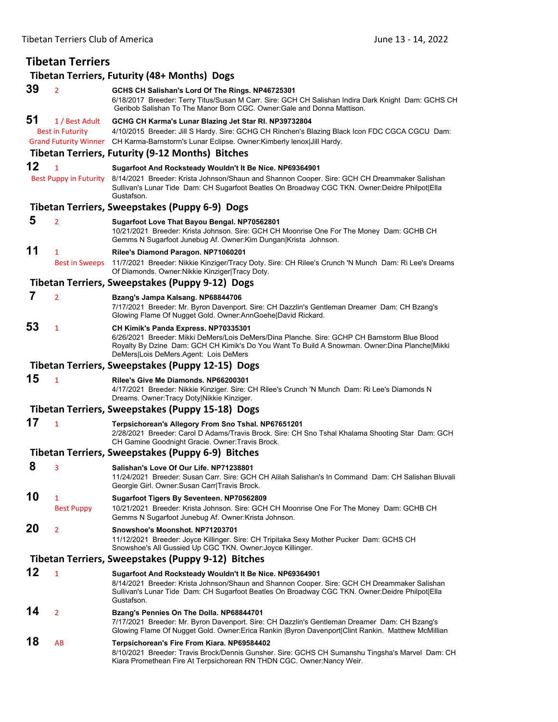| <b>Tibetan Terriers</b>                            |                                           |                                                                                                                                                                                                                                                                                                                   |
|----------------------------------------------------|-------------------------------------------|-------------------------------------------------------------------------------------------------------------------------------------------------------------------------------------------------------------------------------------------------------------------------------------------------------------------|
|                                                    |                                           | <b>Tibetan Terriers, Futurity (48+ Months) Dogs</b>                                                                                                                                                                                                                                                               |
| 39                                                 | $\overline{2}$                            | GCHS CH Salishan's Lord Of The Rings. NP46725301<br>6/18/2017 Breeder: Terry Titus/Susan M Carr. Sire: GCH CH Salishan Indira Dark Knight Dam: GCHS CH<br>Geribob Salishan To The Manor Born CGC, Owner:Gale and Donna Mattison.                                                                                  |
| 51                                                 | 1 / Best Adult<br><b>Best in Futurity</b> | GCHG CH Karma's Lunar Blazing Jet Star RI. NP39732804<br>4/10/2015 Breeder: Jill S Hardy. Sire: GCHG CH Rinchen's Blazing Black Icon FDC CGCA CGCU Dam:<br>Grand Futurity Winner CH Karma-Barnstorm's Lunar Eclipse. Owner: Kimberly lenox Jill Hardy.<br><b>Tibetan Terriers, Futurity (9-12 Months) Bitches</b> |
| 12                                                 | $\mathbf{1}$                              | Sugarfoot And Rocksteady Wouldn't It Be Nice. NP69364901                                                                                                                                                                                                                                                          |
|                                                    | <b>Best Puppy in Futurity</b>             | 8/14/2021 Breeder: Krista Johnson/Shaun and Shannon Cooper. Sire: GCH CH Dreammaker Salishan<br>Sullivan's Lunar Tide Dam: CH Sugarfoot Beatles On Broadway CGC TKN. Owner:Deidre Philpot Ella<br>Gustafson.                                                                                                      |
|                                                    |                                           | Tibetan Terriers, Sweepstakes (Puppy 6-9) Dogs                                                                                                                                                                                                                                                                    |
| 5                                                  | $\overline{2}$                            | Sugarfoot Love That Bayou Bengal. NP70562801<br>10/21/2021 Breeder: Krista Johnson. Sire: GCH CH Moonrise One For The Money Dam: GCHB CH<br>Gemms N Sugarfoot Junebug Af. Owner: Kim Dungan Krista Johnson.                                                                                                       |
| 11                                                 | $\mathbf{1}$<br><b>Best in Sweeps</b>     | Rilee's Diamond Paragon. NP71060201<br>11/7/2021 Breeder: Nikkie Kinziger/Tracy Doty. Sire: CH Rilee's Crunch 'N Munch Dam: Ri Lee's Dreams<br>Of Diamonds. Owner: Nikkie Kinziger Tracy Doty.                                                                                                                    |
|                                                    |                                           | Tibetan Terriers, Sweepstakes (Puppy 9-12) Dogs                                                                                                                                                                                                                                                                   |
| 7                                                  | $\overline{2}$                            | Bzang's Jampa Kalsang. NP68844706<br>7/17/2021 Breeder: Mr. Byron Davenport. Sire: CH Dazzlin's Gentleman Dreamer Dam: CH Bzang's<br>Glowing Flame Of Nugget Gold. Owner:AnnGoehe David Rickard.                                                                                                                  |
| 53                                                 | $\mathbf{1}$                              | <b>CH Kimik's Panda Express. NP70335301</b><br>6/26/2021 Breeder: Mikki DeMers/Lois DeMers/Dina Planche. Sire: GCHP CH Barnstorm Blue Blood<br>Royalty By Dzine Dam: GCH CH Kimik's Do You Want To Build A Snowman. Owner:Dina Planche Mikki<br>DeMers Lois DeMers.Agent: Lois DeMers                             |
|                                                    |                                           | Tibetan Terriers, Sweepstakes (Puppy 12-15) Dogs                                                                                                                                                                                                                                                                  |
| 15                                                 | $\mathbf{1}$                              | Rilee's Give Me Diamonds. NP66200301<br>4/17/2021 Breeder: Nikkie Kinziger. Sire: CH Rilee's Crunch 'N Munch Dam: Ri Lee's Diamonds N<br>Dreams. Owner: Tracy Doty Nikkie Kinziger.                                                                                                                               |
|                                                    |                                           | Tibetan Terriers, Sweepstakes (Puppy 15-18) Dogs                                                                                                                                                                                                                                                                  |
| 17                                                 | $\overline{1}$                            | Terpsichorean's Allegory From Sno Tshal. NP67651201<br>2/28/2021 Breeder: Carol D Adams/Travis Brock. Sire: CH Sno Tshal Khalama Shooting Star Dam: GCH<br>CH Gamine Goodnight Gracie. Owner: Travis Brock.                                                                                                       |
|                                                    |                                           | Tibetan Terriers, Sweepstakes (Puppy 6-9) Bitches                                                                                                                                                                                                                                                                 |
| 8                                                  | 3                                         | Salishan's Love Of Our Life. NP71238801<br>11/24/2021 Breeder: Susan Carr. Sire: GCH CH Alilah Salishan's In Command Dam: CH Salishan Bluvali<br>Georgie Girl. Owner: Susan Carr Travis Brock.                                                                                                                    |
| 10                                                 | 1<br><b>Best Puppy</b>                    | Sugarfoot Tigers By Seventeen. NP70562809<br>10/21/2021 Breeder: Krista Johnson. Sire: GCH CH Moonrise One For The Money Dam: GCHB CH<br>Gemms N Sugarfoot Junebug Af. Owner: Krista Johnson.                                                                                                                     |
| 20                                                 | $\overline{2}$                            | Snowshoe's Moonshot. NP71203701<br>11/12/2021 Breeder: Joyce Killinger. Sire: CH Tripitaka Sexy Mother Pucker Dam: GCHS CH<br>Snowshoe's All Gussied Up CGC TKN. Owner Joyce Killinger.                                                                                                                           |
| Tibetan Terriers, Sweepstakes (Puppy 9-12) Bitches |                                           |                                                                                                                                                                                                                                                                                                                   |
| 12                                                 | $\mathbf{1}$                              | Sugarfoot And Rocksteady Wouldn't It Be Nice. NP69364901<br>8/14/2021 Breeder: Krista Johnson/Shaun and Shannon Cooper. Sire: GCH CH Dreammaker Salishan<br>Sullivan's Lunar Tide Dam: CH Sugarfoot Beatles On Broadway CGC TKN. Owner:Deidre Philpot Ella<br>Gustafson.                                          |
| 14                                                 | $\overline{2}$                            | Bzang's Pennies On The Dolla. NP68844701<br>7/17/2021 Breeder: Mr. Byron Davenport. Sire: CH Dazzlin's Gentleman Dreamer Dam: CH Bzang's<br>Glowing Flame Of Nugget Gold. Owner: Erica Rankin   Byron Davenport  Clint Rankin. Matthew McMillian                                                                  |
| 18                                                 | AB                                        | Terpsichorean's Fire From Kiara. NP69584402<br>8/10/2021 Breeder: Travis Brock/Dennis Gunsher. Sire: GCHS CH Sumanshu Tingsha's Marvel Dam: CH<br>Kiara Promethean Fire At Terpsichorean RN THDN CGC. Owner:Nancy Weir.                                                                                           |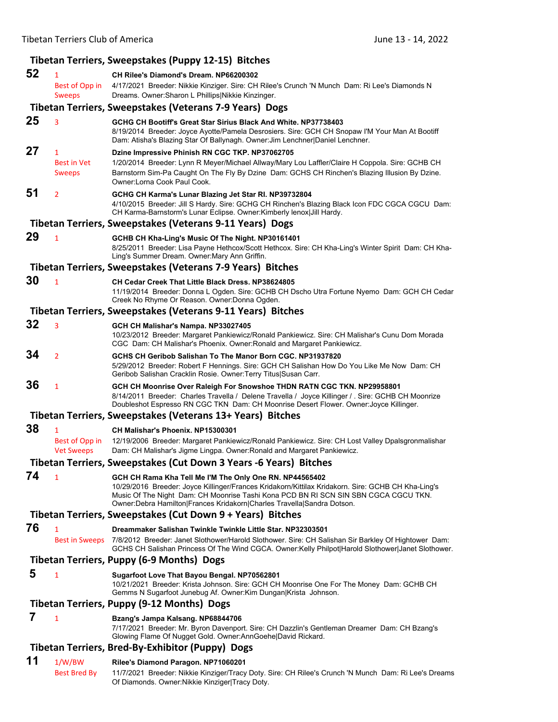## **Tibetan Terriers, Sweepstakes (Puppy 12‐15) Bitches**

| 52 | 1                                                   | CH Rilee's Diamond's Dream. NP66200302                                                                                                                                                                                                                                                                                                |
|----|-----------------------------------------------------|---------------------------------------------------------------------------------------------------------------------------------------------------------------------------------------------------------------------------------------------------------------------------------------------------------------------------------------|
|    | Best of Opp in<br><b>Sweeps</b>                     | 4/17/2021 Breeder: Nikkie Kinziger. Sire: CH Rilee's Crunch 'N Munch Dam: Ri Lee's Diamonds N<br>Dreams. Owner: Sharon L Phillips Nikkie Kinzinger.                                                                                                                                                                                   |
|    |                                                     | Tibetan Terriers, Sweepstakes (Veterans 7-9 Years) Dogs                                                                                                                                                                                                                                                                               |
| 25 | 3                                                   | GCHG CH Bootiff's Great Star Sirius Black And White, NP37738403<br>8/19/2014 Breeder: Joyce Ayotte/Pamela Desrosiers. Sire: GCH CH Snopaw I'M Your Man At Bootiff<br>Dam: Atisha's Blazing Star Of Ballynagh. Owner: Jim Lenchner Daniel Lenchner.                                                                                    |
| 27 | $\mathbf{1}$<br><b>Best in Vet</b><br><b>Sweeps</b> | Dzine Impressive Phinish RN CGC TKP. NP37062705<br>1/20/2014 Breeder: Lynn R Meyer/Michael Allway/Mary Lou Laffler/Claire H Coppola. Sire: GCHB CH<br>Barnstorm Sim-Pa Caught On The Fly By Dzine Dam: GCHS CH Rinchen's Blazing Illusion By Dzine.<br>Owner:Lorna Cook Paul Cook.                                                    |
| 51 | $\overline{2}$                                      | GCHG CH Karma's Lunar Blazing Jet Star RI. NP39732804<br>4/10/2015 Breeder: Jill S Hardy. Sire: GCHG CH Rinchen's Blazing Black Icon FDC CGCA CGCU Dam:<br>CH Karma-Barnstorm's Lunar Eclipse. Owner: Kimberly lenox Jill Hardy.                                                                                                      |
|    |                                                     | Tibetan Terriers, Sweepstakes (Veterans 9-11 Years) Dogs                                                                                                                                                                                                                                                                              |
| 29 | $\mathbf{1}$                                        | GCHB CH Kha-Ling's Music Of The Night. NP30161401<br>8/25/2011 Breeder: Lisa Payne Hethcox/Scott Hethcox. Sire: CH Kha-Ling's Winter Spirit Dam: CH Kha-<br>Ling's Summer Dream. Owner: Mary Ann Griffin.                                                                                                                             |
|    |                                                     | Tibetan Terriers, Sweepstakes (Veterans 7-9 Years) Bitches                                                                                                                                                                                                                                                                            |
| 30 | $\mathbf{1}$                                        | <b>CH Cedar Creek That Little Black Dress, NP38624805</b><br>11/19/2014 Breeder: Donna L Ogden. Sire: GCHB CH Dscho Utra Fortune Nyemo Dam: GCH CH Cedar<br>Creek No Rhyme Or Reason. Owner: Donna Ogden.                                                                                                                             |
|    |                                                     | Tibetan Terriers, Sweepstakes (Veterans 9-11 Years) Bitches                                                                                                                                                                                                                                                                           |
| 32 | 3                                                   | GCH CH Malishar's Nampa. NP33027405<br>10/23/2012 Breeder: Margaret Pankiewicz/Ronald Pankiewicz. Sire: CH Malishar's Cunu Dom Morada<br>CGC Dam: CH Malishar's Phoenix. Owner: Ronald and Margaret Pankiewicz.                                                                                                                       |
| 34 | $\overline{2}$                                      | GCHS CH Geribob Salishan To The Manor Born CGC. NP31937820<br>5/29/2012 Breeder: Robert F Hennings. Sire: GCH CH Salishan How Do You Like Me Now Dam: CH<br>Geribob Salishan Cracklin Rosie. Owner: Terry Titus Susan Carr.                                                                                                           |
| 36 | $\mathbf{1}$                                        | GCH CH Moonrise Over Raleigh For Snowshoe THDN RATN CGC TKN. NP29958801<br>8/14/2011 Breeder: Charles Travella / Delene Travella / Joyce Killinger / . Sire: GCHB CH Moonrize<br>Doubleshot Espresso RN CGC TKN Dam: CH Moonrise Desert Flower. Owner: Joyce Killinger.                                                               |
|    |                                                     | Tibetan Terriers, Sweepstakes (Veterans 13+ Years) Bitches                                                                                                                                                                                                                                                                            |
| 38 | 1<br>Best of Opp in<br><b>Vet Sweeps</b>            | CH Malishar's Phoenix. NP15300301<br>12/19/2006 Breeder: Margaret Pankiewicz/Ronald Pankiewicz. Sire: CH Lost Valley Dpalsgronmalishar<br>Dam: CH Malishar's Jigme Lingpa. Owner: Ronald and Margaret Pankiewicz.                                                                                                                     |
|    |                                                     | Tibetan Terriers, Sweepstakes (Cut Down 3 Years -6 Years) Bitches                                                                                                                                                                                                                                                                     |
| 74 | 1                                                   | GCH CH Rama Kha Tell Me I'M The Only One RN. NP44565402<br>10/29/2016 Breeder: Joyce Killinger/Frances Kridakorn/Kittilax Kridakorn. Sire: GCHB CH Kha-Ling's<br>Music Of The Night Dam: CH Moonrise Tashi Kona PCD BN RI SCN SIN SBN CGCA CGCU TKN.<br>Owner: Debra Hamilton   Frances Kridakorn   Charles Travella   Sandra Dotson. |
|    |                                                     | Tibetan Terriers, Sweepstakes (Cut Down 9 + Years) Bitches                                                                                                                                                                                                                                                                            |
| 76 | $\mathbf{1}$<br><b>Best in Sweeps</b>               | Dreammaker Salishan Twinkle Twinkle Little Star, NP32303501<br>7/8/2012 Breeder: Janet Slothower/Harold Slothower. Sire: CH Salishan Sir Barkley Of Hightower Dam:<br>GCHS CH Salishan Princess Of The Wind CGCA. Owner: Kelly Philpot Harold Slothower Janet Slothower.                                                              |
|    |                                                     | <b>Tibetan Terriers, Puppy (6-9 Months) Dogs</b>                                                                                                                                                                                                                                                                                      |
| 5  | $\mathbf{1}$                                        | Sugarfoot Love That Bayou Bengal. NP70562801<br>10/21/2021 Breeder: Krista Johnson. Sire: GCH CH Moonrise One For The Money Dam: GCHB CH<br>Gemms N Sugarfoot Junebug Af. Owner: Kim Dungan Krista Johnson.                                                                                                                           |
|    |                                                     | Tibetan Terriers, Puppy (9-12 Months) Dogs                                                                                                                                                                                                                                                                                            |
| 7  | $\mathbf{1}$                                        | Bzang's Jampa Kalsang. NP68844706<br>7/17/2021 Breeder: Mr. Byron Davenport. Sire: CH Dazzlin's Gentleman Dreamer Dam: CH Bzang's<br>Glowing Flame Of Nugget Gold. Owner:AnnGoehe David Rickard.                                                                                                                                      |
|    |                                                     | Tibetan Terriers, Bred-By-Exhibitor (Puppy) Dogs                                                                                                                                                                                                                                                                                      |
| 11 | 1/W/BW<br>Best Bred By                              | Rilee's Diamond Paragon. NP71060201<br>11/7/2021 Breeder: Nikkie Kinziger/Tracy Doty. Sire: CH Rilee's Crunch 'N Munch Dam: Ri Lee's Dreams<br>Of Diamonds. Owner: Nikkie Kinziger Tracy Doty.                                                                                                                                        |
|    |                                                     |                                                                                                                                                                                                                                                                                                                                       |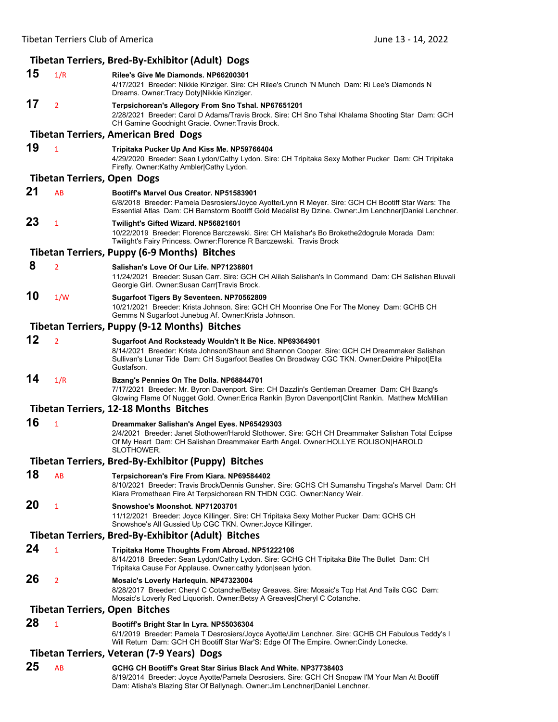|                                            |                                    | Tibetan Terriers, Bred-By-Exhibitor (Adult) Dogs                                                                                                                                                                                                                         |  |
|--------------------------------------------|------------------------------------|--------------------------------------------------------------------------------------------------------------------------------------------------------------------------------------------------------------------------------------------------------------------------|--|
| 15                                         | 1/R                                | Rilee's Give Me Diamonds, NP66200301<br>4/17/2021 Breeder: Nikkie Kinziger. Sire: CH Rilee's Crunch 'N Munch Dam: Ri Lee's Diamonds N<br>Dreams. Owner: Tracy Doty Nikkie Kinziger.                                                                                      |  |
| 17                                         | $\overline{2}$                     | Terpsichorean's Allegory From Sno Tshal. NP67651201<br>2/28/2021 Breeder: Carol D Adams/Travis Brock. Sire: CH Sno Tshal Khalama Shooting Star Dam: GCH<br>CH Gamine Goodnight Gracie. Owner: Travis Brock.                                                              |  |
|                                            |                                    | <b>Tibetan Terriers, American Bred Dogs</b>                                                                                                                                                                                                                              |  |
| 19                                         | $\mathbf{1}$                       | Tripitaka Pucker Up And Kiss Me. NP59766404<br>4/29/2020 Breeder: Sean Lydon/Cathy Lydon. Sire: CH Tripitaka Sexy Mother Pucker Dam: CH Tripitaka<br>Firefly. Owner:Kathy Ambler Cathy Lydon.                                                                            |  |
|                                            | <b>Tibetan Terriers, Open Dogs</b> |                                                                                                                                                                                                                                                                          |  |
| 21                                         | AB                                 | Bootiff's Marvel Ous Creator. NP51583901<br>6/8/2018 Breeder: Pamela Desrosiers/Joyce Ayotte/Lynn R Meyer. Sire: GCH CH Bootiff Star Wars: The<br>Essential Atlas Dam: CH Barnstorm Bootiff Gold Medalist By Dzine. Owner: Jim Lenchner Daniel Lenchner.                 |  |
| 23                                         | $\mathbf{1}$                       | Twilight's Gifted Wizard. NP56821601<br>10/22/2019 Breeder: Florence Barczewski. Sire: CH Malishar's Bo Brokethe2dogrule Morada Dam:<br>Twilight's Fairy Princess. Owner: Florence R Barczewski. Travis Brock                                                            |  |
|                                            |                                    | <b>Tibetan Terriers, Puppy (6-9 Months) Bitches</b>                                                                                                                                                                                                                      |  |
| 8                                          | $\overline{2}$                     | Salishan's Love Of Our Life. NP71238801<br>11/24/2021 Breeder: Susan Carr. Sire: GCH CH Alilah Salishan's In Command Dam: CH Salishan Bluvali<br>Georgie Girl. Owner: Susan Carr Travis Brock.                                                                           |  |
| 10                                         | 1/W                                | Sugarfoot Tigers By Seventeen. NP70562809<br>10/21/2021 Breeder: Krista Johnson. Sire: GCH CH Moonrise One For The Money Dam: GCHB CH<br>Gemms N Sugarfoot Junebug Af. Owner: Krista Johnson.                                                                            |  |
|                                            |                                    | Tibetan Terriers, Puppy (9-12 Months) Bitches                                                                                                                                                                                                                            |  |
| 12                                         | $\overline{2}$                     | Sugarfoot And Rocksteady Wouldn't It Be Nice. NP69364901<br>8/14/2021 Breeder: Krista Johnson/Shaun and Shannon Cooper. Sire: GCH CH Dreammaker Salishan<br>Sullivan's Lunar Tide Dam: CH Sugarfoot Beatles On Broadway CGC TKN. Owner:Deidre Philpot Ella<br>Gustafson. |  |
| 14                                         | 1/R                                | Bzang's Pennies On The Dolla. NP68844701<br>7/17/2021 Breeder: Mr. Byron Davenport. Sire: CH Dazzlin's Gentleman Dreamer Dam: CH Bzang's<br>Glowing Flame Of Nugget Gold. Owner: Erica Rankin   Byron Davenport Clint Rankin. Matthew McMillian                          |  |
|                                            |                                    | <b>Tibetan Terriers, 12-18 Months Bitches</b>                                                                                                                                                                                                                            |  |
| 16                                         | $\mathbf{1}$                       | Dreammaker Salishan's Angel Eyes. NP65429303<br>2/4/2021 Breeder: Janet Slothower/Harold Slothower. Sire: GCH CH Dreammaker Salishan Total Eclipse<br>Of My Heart Dam: CH Salishan Dreammaker Earth Angel. Owner: HOLLYE ROLISON HAROLD<br>SLOTHOWER.                    |  |
|                                            |                                    | Tibetan Terriers, Bred-By-Exhibitor (Puppy) Bitches                                                                                                                                                                                                                      |  |
| 18                                         | AB                                 | Terpsichorean's Fire From Kiara. NP69584402<br>8/10/2021 Breeder: Travis Brock/Dennis Gunsher. Sire: GCHS CH Sumanshu Tingsha's Marvel Dam: CH<br>Kiara Promethean Fire At Terpsichorean RN THDN CGC. Owner:Nancy Weir.                                                  |  |
| 20                                         | 1                                  | Snowshoe's Moonshot. NP71203701<br>11/12/2021 Breeder: Joyce Killinger. Sire: CH Tripitaka Sexy Mother Pucker Dam: GCHS CH<br>Snowshoe's All Gussied Up CGC TKN. Owner: Joyce Killinger.                                                                                 |  |
|                                            |                                    | <b>Tibetan Terriers, Bred-By-Exhibitor (Adult) Bitches</b>                                                                                                                                                                                                               |  |
| 24                                         | $\mathbf{1}$                       | Tripitaka Home Thoughts From Abroad. NP51222106<br>8/14/2018 Breeder: Sean Lydon/Cathy Lydon. Sire: GCHG CH Tripitaka Bite The Bullet Dam: CH<br>Tripitaka Cause For Applause. Owner: cathy lydon sean lydon.                                                            |  |
| 26                                         | $\overline{2}$                     | Mosaic's Loverly Harlequin. NP47323004<br>8/28/2017 Breeder: Cheryl C Cotanche/Betsy Greaves. Sire: Mosaic's Top Hat And Tails CGC Dam:<br>Mosaic's Loverly Red Liquorish. Owner: Betsy A Greaves Cheryl C Cotanche.                                                     |  |
|                                            |                                    | <b>Tibetan Terriers, Open Bitches</b>                                                                                                                                                                                                                                    |  |
| 28                                         | $\mathbf{1}$                       | Bootiff's Bright Star In Lyra. NP55036304<br>6/1/2019 Breeder: Pamela T Desrosiers/Joyce Ayotte/Jim Lenchner. Sire: GCHB CH Fabulous Teddy's I<br>Will Return Dam: GCH CH Bootiff Star War'S: Edge Of The Empire. Owner:Cindy Lonecke.                                   |  |
| Tibetan Terriers, Veteran (7-9 Years) Dogs |                                    |                                                                                                                                                                                                                                                                          |  |
| 25                                         | AB                                 | GCHG CH Bootiff's Great Star Sirius Black And White. NP37738403<br>8/19/2014 Breeder: Joyce Ayotte/Pamela Desrosiers. Sire: GCH CH Snopaw I'M Your Man At Bootiff<br>Dam: Atisha's Blazing Star Of Ballynagh. Owner: Jim Lenchner   Daniel Lenchner.                     |  |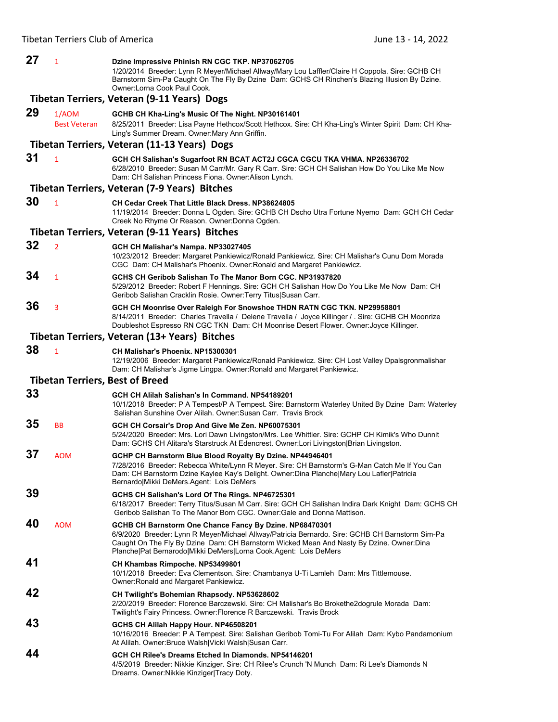| 27 | $\mathbf{1}$                                | Dzine Impressive Phinish RN CGC TKP. NP37062705<br>1/20/2014 Breeder: Lynn R Meyer/Michael Allway/Mary Lou Laffler/Claire H Coppola. Sire: GCHB CH<br>Barnstorm Sim-Pa Caught On The Fly By Dzine Dam: GCHS CH Rinchen's Blazing Illusion By Dzine.<br>Owner:Lorna Cook Paul Cook.                                         |  |
|----|---------------------------------------------|----------------------------------------------------------------------------------------------------------------------------------------------------------------------------------------------------------------------------------------------------------------------------------------------------------------------------|--|
|    | Tibetan Terriers, Veteran (9-11 Years) Dogs |                                                                                                                                                                                                                                                                                                                            |  |
| 29 | 1/AOM<br><b>Best Veteran</b>                | GCHB CH Kha-Ling's Music Of The Night. NP30161401<br>8/25/2011 Breeder: Lisa Payne Hethcox/Scott Hethcox. Sire: CH Kha-Ling's Winter Spirit Dam: CH Kha-<br>Ling's Summer Dream. Owner: Mary Ann Griffin.                                                                                                                  |  |
|    |                                             | Tibetan Terriers, Veteran (11-13 Years) Dogs                                                                                                                                                                                                                                                                               |  |
| 31 | $\mathbf{1}$                                | GCH CH Salishan's Sugarfoot RN BCAT ACT2J CGCA CGCU TKA VHMA. NP26336702<br>6/28/2010 Breeder: Susan M Carr/Mr. Gary R Carr. Sire: GCH CH Salishan How Do You Like Me Now<br>Dam: CH Salishan Princess Fiona. Owner: Alison Lynch.                                                                                         |  |
|    |                                             | Tibetan Terriers, Veteran (7-9 Years) Bitches                                                                                                                                                                                                                                                                              |  |
| 30 | $\mathbf{1}$                                | CH Cedar Creek That Little Black Dress. NP38624805<br>11/19/2014 Breeder: Donna L Ogden. Sire: GCHB CH Dscho Utra Fortune Nyemo Dam: GCH CH Cedar<br>Creek No Rhyme Or Reason. Owner: Donna Ogden.                                                                                                                         |  |
|    |                                             | Tibetan Terriers, Veteran (9-11 Years) Bitches                                                                                                                                                                                                                                                                             |  |
| 32 | $\overline{2}$                              | GCH CH Malishar's Nampa. NP33027405<br>10/23/2012 Breeder: Margaret Pankiewicz/Ronald Pankiewicz. Sire: CH Malishar's Cunu Dom Morada<br>CGC Dam: CH Malishar's Phoenix. Owner: Ronald and Margaret Pankiewicz.                                                                                                            |  |
| 34 | $\mathbf{1}$                                | GCHS CH Geribob Salishan To The Manor Born CGC, NP31937820<br>5/29/2012 Breeder: Robert F Hennings. Sire: GCH CH Salishan How Do You Like Me Now Dam: CH<br>Geribob Salishan Cracklin Rosie. Owner: Terry Titus Susan Carr.                                                                                                |  |
| 36 | 3                                           | GCH CH Moonrise Over Raleigh For Snowshoe THDN RATN CGC TKN. NP29958801<br>8/14/2011 Breeder: Charles Travella / Delene Travella / Joyce Killinger / Sire: GCHB CH Moonrize<br>Doubleshot Espresso RN CGC TKN Dam: CH Moonrise Desert Flower. Owner: Joyce Killinger.                                                      |  |
|    |                                             | Tibetan Terriers, Veteran (13+ Years) Bitches                                                                                                                                                                                                                                                                              |  |
| 38 | $\mathbf{1}$                                | CH Malishar's Phoenix, NP15300301<br>12/19/2006 Breeder: Margaret Pankiewicz/Ronald Pankiewicz. Sire: CH Lost Valley Dpalsgronmalishar<br>Dam: CH Malishar's Jigme Lingpa. Owner: Ronald and Margaret Pankiewicz.                                                                                                          |  |
|    |                                             | <b>Tibetan Terriers, Best of Breed</b>                                                                                                                                                                                                                                                                                     |  |
| 33 |                                             | GCH CH Alilah Salishan's In Command, NP54189201<br>10/1/2018 Breeder: P A Tempest/P A Tempest. Sire: Barnstorm Waterley United By Dzine Dam: Waterley<br>Salishan Sunshine Over Alilah, Owner: Susan Carr. Travis Brock                                                                                                    |  |
| 35 | <b>BB</b>                                   | GCH CH Corsair's Drop And Give Me Zen. NP60075301<br>5/24/2020 Breeder: Mrs. Lori Dawn Livingston/Mrs. Lee Whittier. Sire: GCHP CH Kimik's Who Dunnit<br>Dam: GCHS CH Alitara's Starstruck At Edencrest. Owner:Lori Livingston Brian Livingston.                                                                           |  |
| 37 | <b>AOM</b>                                  | GCHP CH Barnstorm Blue Blood Royalty By Dzine. NP44946401<br>7/28/2016 Breeder: Rebecca White/Lynn R Meyer. Sire: CH Barnstorm's G-Man Catch Me If You Can<br>Dam: CH Barnstorm Dzine Kaylee Kay's Delight. Owner:Dina Planche Mary Lou Lafler Patricia<br>Bernardo Mikki DeMers.Agent: Lois DeMers                        |  |
| 39 |                                             | GCHS CH Salishan's Lord Of The Rings. NP46725301<br>6/18/2017 Breeder: Terry Titus/Susan M Carr. Sire: GCH CH Salishan Indira Dark Knight Dam: GCHS CH<br>Geribob Salishan To The Manor Born CGC. Owner: Gale and Donna Mattison.                                                                                          |  |
| 40 | <b>AOM</b>                                  | GCHB CH Barnstorm One Chance Fancy By Dzine. NP68470301<br>6/9/2020 Breeder: Lynn R Meyer/Michael Allway/Patricia Bernardo. Sire: GCHB CH Barnstorm Sim-Pa<br>Caught On The Fly By Dzine Dam: CH Barnstorm Wicked Mean And Nasty By Dzine. Owner: Dina<br>Planche Pat Bernarodo Mikki DeMers Lorna Cook.Agent: Lois DeMers |  |
| 41 |                                             | CH Khambas Rimpoche. NP53499801<br>10/1/2018 Breeder: Eva Clementson. Sire: Chambanya U-Ti Lamleh Dam: Mrs Tittlemouse.<br>Owner: Ronald and Margaret Pankiewicz.                                                                                                                                                          |  |
| 42 |                                             | CH Twilight's Bohemian Rhapsody. NP53628602<br>2/20/2019 Breeder: Florence Barczewski. Sire: CH Malishar's Bo Brokethe2dogrule Morada Dam:<br>Twilight's Fairy Princess. Owner: Florence R Barczewski. Travis Brock                                                                                                        |  |
| 43 |                                             | GCHS CH Alilah Happy Hour. NP46508201<br>10/16/2016 Breeder: P A Tempest. Sire: Salishan Geribob Tomi-Tu For Alilah Dam: Kybo Pandamonium<br>At Alilah. Owner: Bruce Walsh Vicki Walsh Susan Carr.                                                                                                                         |  |
| 44 |                                             | GCH CH Rilee's Dreams Etched In Diamonds. NP54146201<br>4/5/2019 Breeder: Nikkie Kinziger. Sire: CH Rilee's Crunch 'N Munch Dam: Ri Lee's Diamonds N<br>Dreams. Owner: Nikkie Kinziger Tracy Doty.                                                                                                                         |  |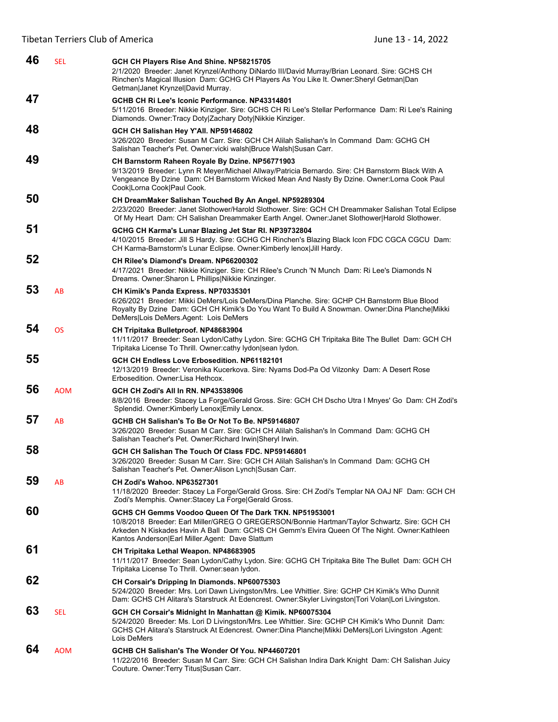| 46 | <b>SEL</b> | GCH CH Players Rise And Shine. NP58215705<br>2/1/2020 Breeder: Janet Krynzel/Anthony DiNardo III/David Murray/Brian Leonard. Sire: GCHS CH<br>Rinchen's Magical Illusion Dam: GCHG CH Players As You Like It. Owner:Sheryl Getman Dan<br>Getman Janet Krynzel David Murray.                                |
|----|------------|------------------------------------------------------------------------------------------------------------------------------------------------------------------------------------------------------------------------------------------------------------------------------------------------------------|
| 47 |            | GCHB CH Ri Lee's Iconic Performance. NP43314801<br>5/11/2016 Breeder: Nikkie Kinziger. Sire: GCHS CH Ri Lee's Stellar Performance Dam: Ri Lee's Raining<br>Diamonds. Owner: Tracy Doty Zachary Doty Nikkie Kinziger.                                                                                       |
| 48 |            | GCH CH Salishan Hey Y'All. NP59146802<br>3/26/2020 Breeder: Susan M Carr. Sire: GCH CH Alilah Salishan's In Command Dam: GCHG CH<br>Salishan Teacher's Pet. Owner: vicki walsh Bruce Walsh Susan Carr.                                                                                                     |
| 49 |            | CH Barnstorm Raheen Royale By Dzine. NP56771903<br>9/13/2019 Breeder: Lynn R Meyer/Michael Allway/Patricia Bernardo. Sire: CH Barnstorm Black With A<br>Vengeance By Dzine Dam: CH Barnstorm Wicked Mean And Nasty By Dzine. Owner: Lorna Cook Paul<br>Cook Lorna Cook Paul Cook.                          |
| 50 |            | CH DreamMaker Salishan Touched By An Angel. NP59289304<br>2/23/2020 Breeder: Janet Slothower/Harold Slothower. Sire: GCH CH Dreammaker Salishan Total Eclipse<br>Of My Heart Dam: CH Salishan Dreammaker Earth Angel. Owner: Janet Slothower Harold Slothower.                                             |
| 51 |            | GCHG CH Karma's Lunar Blazing Jet Star Rl. NP39732804<br>4/10/2015 Breeder: Jill S Hardy. Sire: GCHG CH Rinchen's Blazing Black Icon FDC CGCA CGCU Dam:<br>CH Karma-Barnstorm's Lunar Eclipse. Owner: Kimberly lenox   Jill Hardy.                                                                         |
| 52 |            | CH Rilee's Diamond's Dream. NP66200302<br>4/17/2021 Breeder: Nikkie Kinziger. Sire: CH Rilee's Crunch 'N Munch Dam: Ri Lee's Diamonds N<br>Dreams. Owner: Sharon L Phillips Nikkie Kinzinger.                                                                                                              |
| 53 | AB         | CH Kimik's Panda Express. NP70335301<br>6/26/2021 Breeder: Mikki DeMers/Lois DeMers/Dina Planche. Sire: GCHP CH Barnstorm Blue Blood<br>Royalty By Dzine Dam: GCH CH Kimik's Do You Want To Build A Snowman. Owner: Dina Planche Mikki<br>DeMers Lois DeMers.Agent: Lois DeMers                            |
| 54 | <b>OS</b>  | CH Tripitaka Bulletproof. NP48683904<br>11/11/2017 Breeder: Sean Lydon/Cathy Lydon. Sire: GCHG CH Tripitaka Bite The Bullet Dam: GCH CH<br>Tripitaka License To Thrill. Owner:cathy lydon sean lydon.                                                                                                      |
| 55 |            | GCH CH Endless Love Erbosedition. NP61182101<br>12/13/2019 Breeder: Veronika Kucerkova. Sire: Nyams Dod-Pa Od Vilzonky Dam: A Desert Rose<br>Erbosedition. Owner: Lisa Hethcox.                                                                                                                            |
| 56 | <b>AOM</b> | <b>GCH CH Zodi's All In RN. NP43538906</b><br>8/8/2016 Breeder: Stacey La Forge/Gerald Gross. Sire: GCH CH Dscho Utra I Mnyes' Go Dam: CH Zodi's<br>Splendid. Owner: Kimberly Lenox Emily Lenox.                                                                                                           |
| 57 | AB         | GCHB CH Salishan's To Be Or Not To Be. NP59146807<br>3/26/2020 Breeder: Susan M Carr. Sire: GCH CH Alilah Salishan's In Command Dam: GCHG CH<br>Salishan Teacher's Pet. Owner: Richard Irwin Sheryl Irwin.                                                                                                 |
| 58 |            | GCH CH Salishan The Touch Of Class FDC. NP59146801<br>3/26/2020 Breeder: Susan M Carr. Sire: GCH CH Alilah Salishan's In Command Dam: GCHG CH<br>Salishan Teacher's Pet. Owner: Alison Lynch Susan Carr.                                                                                                   |
| 59 | AB         | CH Zodi's Wahoo, NP63527301<br>11/18/2020 Breeder: Stacey La Forge/Gerald Gross. Sire: CH Zodi's Templar NA OAJ NF Dam: GCH CH<br>Zodi's Memphis. Owner: Stacey La Forge Gerald Gross.                                                                                                                     |
| 60 |            | GCHS CH Gemms Voodoo Queen Of The Dark TKN. NP51953001<br>10/8/2018 Breeder: Earl Miller/GREG O GREGERSON/Bonnie Hartman/Taylor Schwartz. Sire: GCH CH<br>Arkeden N Kiskades Havin A Ball Dam: GCHS CH Gemm's Elvira Queen Of The Night. Owner:Kathleen<br>Kantos Anderson Earl Miller.Agent: Dave Slattum |
| 61 |            | CH Tripitaka Lethal Weapon. NP48683905<br>11/11/2017 Breeder: Sean Lydon/Cathy Lydon. Sire: GCHG CH Tripitaka Bite The Bullet Dam: GCH CH<br>Tripitaka License To Thrill. Owner: sean lydon.                                                                                                               |
| 62 |            | CH Corsair's Dripping In Diamonds. NP60075303<br>5/24/2020 Breeder: Mrs. Lori Dawn Livingston/Mrs. Lee Whittier. Sire: GCHP CH Kimik's Who Dunnit<br>Dam: GCHS CH Alitara's Starstruck At Edencrest. Owner: Skyler Livingston   Tori Volan   Lori Livingston.                                              |
| 63 | <b>SEL</b> | GCH CH Corsair's Midnight In Manhattan @ Kimik. NP60075304<br>5/24/2020 Breeder: Ms. Lori D Livingston/Mrs. Lee Whittier. Sire: GCHP CH Kimik's Who Dunnit Dam:<br>GCHS CH Alitara's Starstruck At Edencrest. Owner:Dina Planche Mikki DeMers Lori Livingston .Agent:<br>Lois DeMers                       |
| 64 | <b>AOM</b> | GCHB CH Salishan's The Wonder Of You. NP44607201<br>11/22/2016 Breeder: Susan M Carr. Sire: GCH CH Salishan Indira Dark Knight Dam: CH Salishan Juicy<br>Couture. Owner: Terry Titus Susan Carr.                                                                                                           |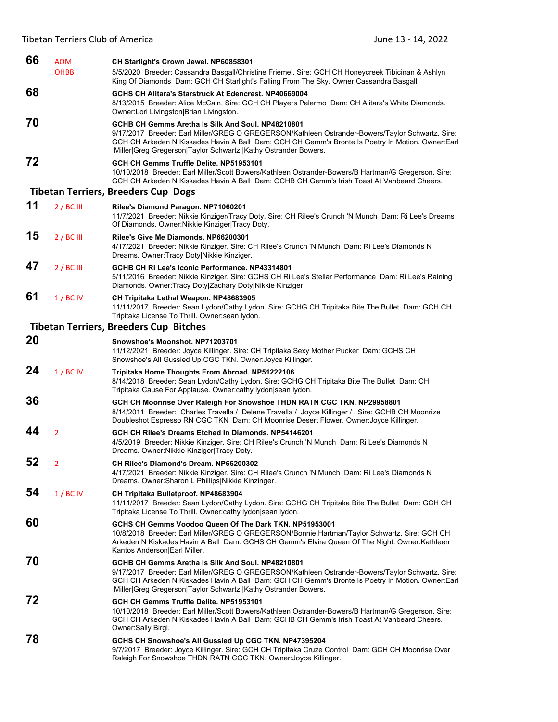| 66 | <b>AOM</b>     | CH Starlight's Crown Jewel. NP60858301                                                                                                                                                                                                                                                                                       |
|----|----------------|------------------------------------------------------------------------------------------------------------------------------------------------------------------------------------------------------------------------------------------------------------------------------------------------------------------------------|
|    | <b>OHBB</b>    | 5/5/2020 Breeder: Cassandra Basgall/Christine Friemel. Sire: GCH CH Honeycreek Tibicinan & Ashlyn<br>King Of Diamonds Dam: GCH CH Starlight's Falling From The Sky. Owner:Cassandra Basgall.                                                                                                                                 |
| 68 |                | GCHS CH Alitara's Starstruck At Edencrest. NP40669004<br>8/13/2015 Breeder: Alice McCain. Sire: GCH CH Players Palermo Dam: CH Alitara's White Diamonds.<br>Owner:Lori Livingston Brian Livingston.                                                                                                                          |
| 70 |                | GCHB CH Gemms Aretha Is Silk And Soul, NP48210801<br>9/17/2017 Breeder: Earl Miller/GREG O GREGERSON/Kathleen Ostrander-Bowers/Taylor Schwartz. Sire:<br>GCH CH Arkeden N Kiskades Havin A Ball Dam: GCH CH Gemm's Bronte Is Poetry In Motion. Owner: Earl<br>Miller Greg Gregerson Taylor Schwartz  Kathy Ostrander Bowers. |
| 72 |                | GCH CH Gemms Truffle Delite. NP51953101<br>10/10/2018 Breeder: Earl Miller/Scott Bowers/Kathleen Ostrander-Bowers/B Hartman/G Gregerson. Sire:<br>GCH CH Arkeden N Kiskades Havin A Ball Dam: GCHB CH Gemm's Irish Toast At Vanbeard Cheers.                                                                                 |
|    |                | <b>Tibetan Terriers, Breeders Cup Dogs</b>                                                                                                                                                                                                                                                                                   |
| 11 | 2/BCIII        | Rilee's Diamond Paragon. NP71060201<br>11/7/2021 Breeder: Nikkie Kinziger/Tracy Doty. Sire: CH Rilee's Crunch 'N Munch Dam: Ri Lee's Dreams<br>Of Diamonds. Owner: Nikkie Kinziger Tracy Doty.                                                                                                                               |
| 15 | 2/BCIII        | Rilee's Give Me Diamonds. NP66200301<br>4/17/2021 Breeder: Nikkie Kinziger. Sire: CH Rilee's Crunch 'N Munch Dam: Ri Lee's Diamonds N<br>Dreams. Owner: Tracy Doty Nikkie Kinziger.                                                                                                                                          |
| 47 | 2/BCIII        | GCHB CH Ri Lee's Iconic Performance. NP43314801<br>5/11/2016 Breeder: Nikkie Kinziger. Sire: GCHS CH Ri Lee's Stellar Performance Dam: Ri Lee's Raining<br>Diamonds. Owner: Tracy Doty Zachary Doty Nikkie Kinziger.                                                                                                         |
| 61 | 1/BCIV         | CH Tripitaka Lethal Weapon. NP48683905<br>11/11/2017 Breeder: Sean Lydon/Cathy Lydon. Sire: GCHG CH Tripitaka Bite The Bullet Dam: GCH CH<br>Tripitaka License To Thrill. Owner: sean lydon.                                                                                                                                 |
|    |                | <b>Tibetan Terriers, Breeders Cup Bitches</b>                                                                                                                                                                                                                                                                                |
| 20 |                | Snowshoe's Moonshot, NP71203701<br>11/12/2021 Breeder: Joyce Killinger. Sire: CH Tripitaka Sexy Mother Pucker Dam: GCHS CH<br>Snowshoe's All Gussied Up CGC TKN. Owner: Joyce Killinger.                                                                                                                                     |
| 24 | 1/BCIV         | Tripitaka Home Thoughts From Abroad. NP51222106<br>8/14/2018 Breeder: Sean Lydon/Cathy Lydon. Sire: GCHG CH Tripitaka Bite The Bullet Dam: CH<br>Tripitaka Cause For Applause. Owner: cathy lydon sean lydon.                                                                                                                |
| 36 |                | GCH CH Moonrise Over Raleigh For Snowshoe THDN RATN CGC TKN. NP29958801<br>8/14/2011 Breeder: Charles Travella / Delene Travella / Joyce Killinger / Sire: GCHB CH Moonrize<br>Doubleshot Espresso RN CGC TKN Dam: CH Moonrise Desert Flower. Owner: Joyce Killinger.                                                        |
| 44 | $\overline{2}$ | GCH CH Rilee's Dreams Etched In Diamonds, NP54146201<br>4/5/2019 Breeder: Nikkie Kinziger. Sire: CH Rilee's Crunch 'N Munch Dam: Ri Lee's Diamonds N<br>Dreams. Owner: Nikkie Kinziger Tracy Doty.                                                                                                                           |
| 52 | 2              | CH Rilee's Diamond's Dream, NP66200302<br>4/17/2021 Breeder: Nikkie Kinziger. Sire: CH Rilee's Crunch 'N Munch Dam: Ri Lee's Diamonds N<br>Dreams. Owner: Sharon L Phillips Nikkie Kinzinger.                                                                                                                                |
| 54 | 1/BCIV         | CH Tripitaka Bulletproof. NP48683904<br>11/11/2017 Breeder: Sean Lydon/Cathy Lydon. Sire: GCHG CH Tripitaka Bite The Bullet Dam: GCH CH<br>Tripitaka License To Thrill. Owner:cathy lydon sean lydon.                                                                                                                        |
| 60 |                | GCHS CH Gemms Voodoo Queen Of The Dark TKN. NP51953001<br>10/8/2018 Breeder: Earl Miller/GREG O GREGERSON/Bonnie Hartman/Taylor Schwartz. Sire: GCH CH<br>Arkeden N Kiskades Havin A Ball Dam: GCHS CH Gemm's Elvira Queen Of The Night. Owner: Kathleen<br>Kantos Anderson Earl Miller.                                     |
| 70 |                | GCHB CH Gemms Aretha Is Silk And Soul, NP48210801<br>9/17/2017 Breeder: Earl Miller/GREG O GREGERSON/Kathleen Ostrander-Bowers/Taylor Schwartz. Sire:<br>GCH CH Arkeden N Kiskades Havin A Ball Dam: GCH CH Gemm's Bronte Is Poetry In Motion. Owner:Earl<br>Miller Greg Gregerson Taylor Schwartz  Kathy Ostrander Bowers.  |
| 72 |                | GCH CH Gemms Truffle Delite. NP51953101<br>10/10/2018 Breeder: Earl Miller/Scott Bowers/Kathleen Ostrander-Bowers/B Hartman/G Gregerson. Sire:<br>GCH CH Arkeden N Kiskades Havin A Ball Dam: GCHB CH Gemm's Irish Toast At Vanbeard Cheers.<br>Owner: Sally Birgl.                                                          |
| 78 |                | GCHS CH Snowshoe's All Gussied Up CGC TKN. NP47395204<br>9/7/2017 Breeder: Joyce Killinger. Sire: GCH CH Tripitaka Cruze Control Dam: GCH CH Moonrise Over<br>Raleigh For Snowshoe THDN RATN CGC TKN. Owner: Joyce Killinger.                                                                                                |